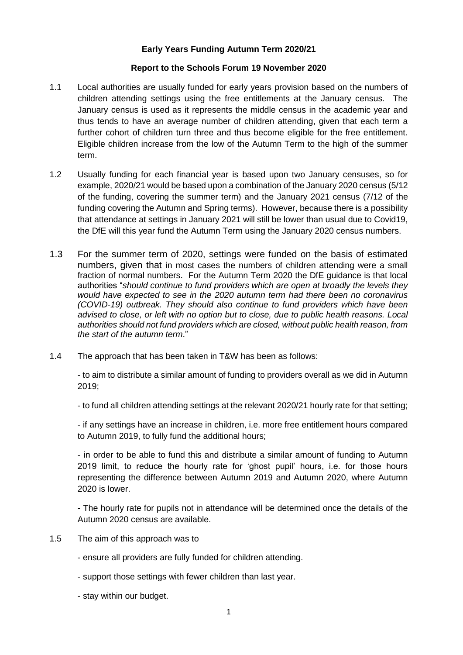## **Early Years Funding Autumn Term 2020/21**

## **Report to the Schools Forum 19 November 2020**

- 1.1 Local authorities are usually funded for early years provision based on the numbers of children attending settings using the free entitlements at the January census. The January census is used as it represents the middle census in the academic year and thus tends to have an average number of children attending, given that each term a further cohort of children turn three and thus become eligible for the free entitlement. Eligible children increase from the low of the Autumn Term to the high of the summer term.
- 1.2 Usually funding for each financial year is based upon two January censuses, so for example, 2020/21 would be based upon a combination of the January 2020 census (5/12 of the funding, covering the summer term) and the January 2021 census (7/12 of the funding covering the Autumn and Spring terms). However, because there is a possibility that attendance at settings in January 2021 will still be lower than usual due to Covid19, the DfE will this year fund the Autumn Term using the January 2020 census numbers.
- 1.3 For the summer term of 2020, settings were funded on the basis of estimated numbers, given that in most cases the numbers of children attending were a small fraction of normal numbers. For the Autumn Term 2020 the DfE guidance is that local authorities "*should continue to fund providers which are open at broadly the levels they would have expected to see in the 2020 autumn term had there been no coronavirus (COVID-19) outbreak. They should also continue to fund providers which have been advised to close, or left with no option but to close, due to public health reasons. Local authorities should not fund providers which are closed, without public health reason, from the start of the autumn term*."
- 1.4 The approach that has been taken in T&W has been as follows:

- to aim to distribute a similar amount of funding to providers overall as we did in Autumn 2019;

- to fund all children attending settings at the relevant 2020/21 hourly rate for that setting;

- if any settings have an increase in children, i.e. more free entitlement hours compared to Autumn 2019, to fully fund the additional hours;

- in order to be able to fund this and distribute a similar amount of funding to Autumn 2019 limit, to reduce the hourly rate for 'ghost pupil' hours, i.e. for those hours representing the difference between Autumn 2019 and Autumn 2020, where Autumn 2020 is lower.

- The hourly rate for pupils not in attendance will be determined once the details of the Autumn 2020 census are available.

- 1.5 The aim of this approach was to
	- ensure all providers are fully funded for children attending.
	- support those settings with fewer children than last year.
	- stay within our budget.